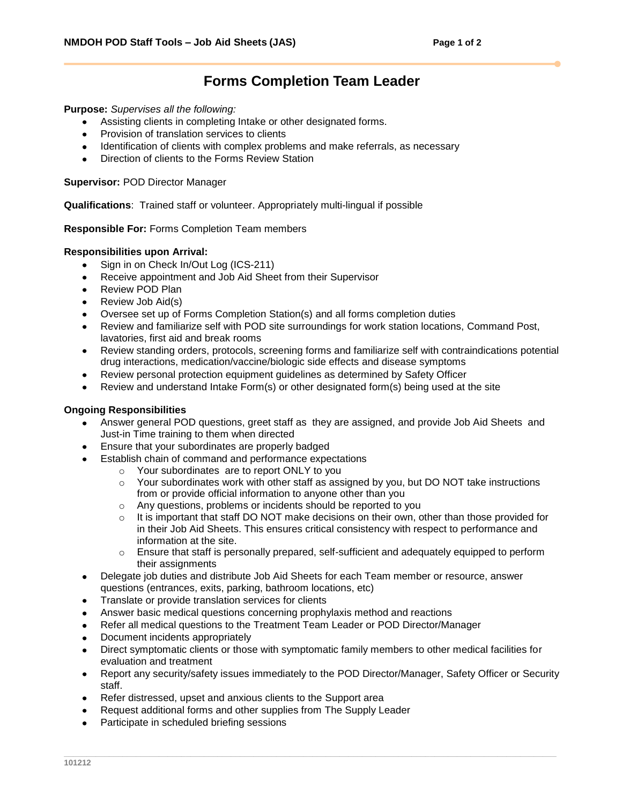## **Forms Completion Team Leader**

**Purpose:** *Supervises all the following:*

- Assisting clients in completing Intake or other designated forms.
- Provision of translation services to clients
- Identification of clients with complex problems and make referrals, as necessary
- Direction of clients to the Forms Review Station

**Supervisor:** POD Director Manager

**Qualifications**: Trained staff or volunteer. Appropriately multi-lingual if possible

**Responsible For:** Forms Completion Team members

## **Responsibilities upon Arrival:**

- Sign in on Check In/Out Log (ICS-211)  $\bullet$
- Receive appointment and Job Aid Sheet from their Supervisor
- Review POD Plan
- Review Job Aid(s)
- Oversee set up of Forms Completion Station(s) and all forms completion duties
- Review and familiarize self with POD site surroundings for work station locations, Command Post, lavatories, first aid and break rooms
- Review standing orders, protocols, screening forms and familiarize self with contraindications potential drug interactions, medication/vaccine/biologic side effects and disease symptoms
- Review personal protection equipment guidelines as determined by Safety Officer
- Review and understand Intake Form(s) or other designated form(s) being used at the site

## **Ongoing Responsibilities**

- Answer general POD questions, greet staff as they are assigned, and provide Job Aid Sheets and Just-in Time training to them when directed
- Ensure that your subordinates are properly badged
- Establish chain of command and performance expectations
	- o Your subordinates are to report ONLY to you
	- $\circ$  Your subordinates work with other staff as assigned by you, but DO NOT take instructions from or provide official information to anyone other than you
	- o Any questions, problems or incidents should be reported to you
	- $\circ$  It is important that staff DO NOT make decisions on their own, other than those provided for in their Job Aid Sheets. This ensures critical consistency with respect to performance and information at the site.
	- $\circ$  Ensure that staff is personally prepared, self-sufficient and adequately equipped to perform their assignments
- Delegate job duties and distribute Job Aid Sheets for each Team member or resource, answer  $\bullet$ questions (entrances, exits, parking, bathroom locations, etc)
- Translate or provide translation services for clients
- Answer basic medical questions concerning prophylaxis method and reactions
- Refer all medical questions to the Treatment Team Leader or POD Director/Manager
- Document incidents appropriately
- Direct symptomatic clients or those with symptomatic family members to other medical facilities for evaluation and treatment
- Report any security/safety issues immediately to the POD Director/Manager, Safety Officer or Security  $\bullet$ staff.
- Refer distressed, upset and anxious clients to the Support area
- Request additional forms and other supplies from The Supply Leader
- Participate in scheduled briefing sessions